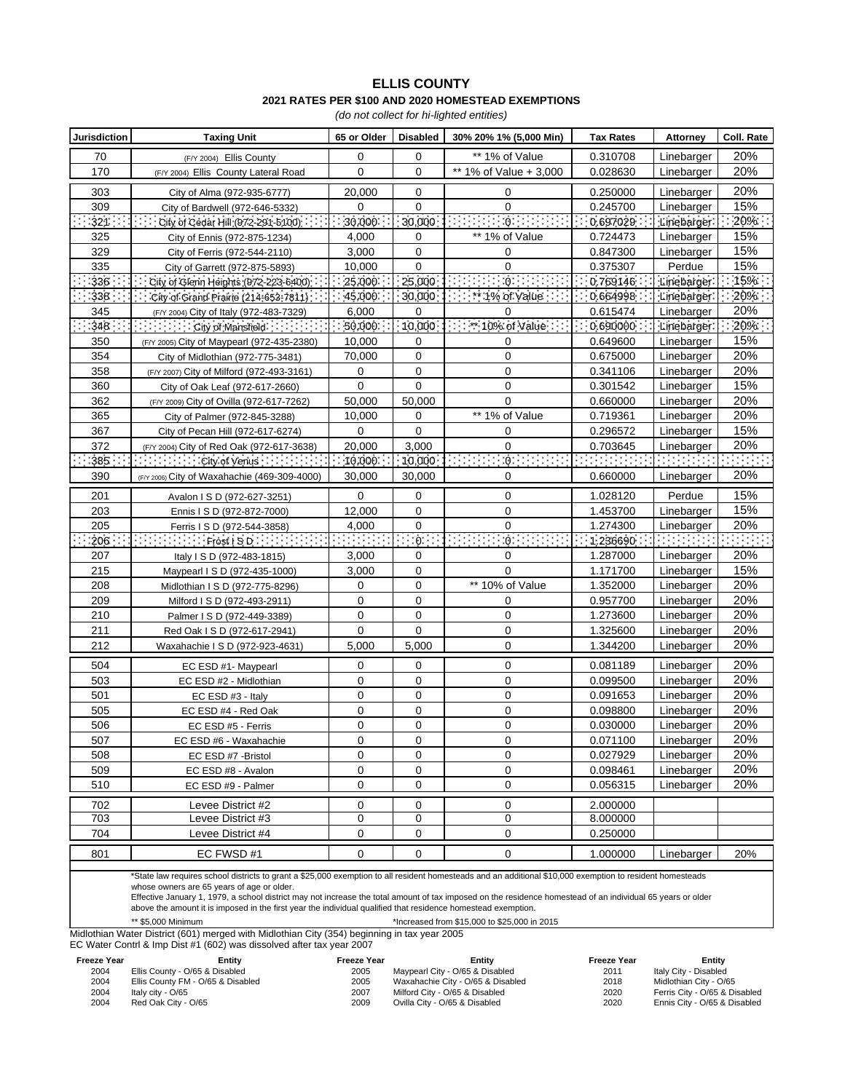## **ELLIS COUNTY 2021 RATES PER \$100 AND 2020 HOMESTEAD EXEMPTIONS**

*(do not collect for hi-lighted entities)*

| <b>Jurisdiction</b> | <b>Taxing Unit</b>                                          | 65 or Older                | <b>Disabled</b> | 30% 20% 1% (5,000 Min)      | <b>Tax Rates</b> | Attorney    | Coll. Rate |
|---------------------|-------------------------------------------------------------|----------------------------|-----------------|-----------------------------|------------------|-------------|------------|
| 70                  | (F/Y 2004) Ellis County                                     | 0                          | 0               | ** 1% of Value              | 0.310708         | Linebarger  | 20%        |
| 170                 | (F/Y 2004) Ellis County Lateral Road                        | 0                          | 0               | ** 1% of Value + 3,000      | 0.028630         | Linebarger  | 20%        |
| 303                 | City of Alma (972-935-6777)                                 | 20,000                     | 0               | 0                           | 0.250000         | Linebarger  | 20%        |
| 309                 | City of Bardwell (972-646-5332)                             | 0                          | $\Omega$        | $\Omega$                    | 0.245700         | Linebarger  | 15%        |
| :32]∷               | City of Cedar Hill: (972-291-5100): : : : :                 | $\cdot$ : 30,000 $\cdot$ : | :30,000:        | Popular Policies Policies   | 0.697029         | Linebarger: | 20%        |
| 325                 | City of Ennis (972-875-1234)                                | 4,000                      | 0               | ** 1% of Value              | 0.724473         | Linebarger  | 15%        |
| 329                 | City of Ferris (972-544-2110)                               | 3,000                      | 0               | 0                           | 0.847300         | Linebarger  | 15%        |
| 335                 | City of Garrett (972-875-5893)                              | 10,000                     | 0               | $\mathbf 0$                 | 0.375307         | Perdue      | 15%        |
| :336:               | City of Glenn Heights (972-223-6400).                       | 25,000.                    | 25,000          | :Ġ:                         | 0.769146         | Linebarger: | 15%        |
| 338:                | City of Grand Prairie (214-653-7811)                        | 45.000.                    | 30,000          | $\cdots$ * 1% of Value      | 0.664998:        | Linebarger: | 20%        |
| 345                 | (F/Y 2004) City of Italy (972-483-7329)                     | 6,000                      | 0               | 0                           | 0.615474         | Linebarger  | 20%        |
| :348 ·              | $\cdots$ : $\cdots$ City of Mansfield: $\cdots$ : : : : : : | 50.000:                    | $-10,000 -$     | $1:1:10%$ of Value $:1:$    | 0.690000:        | Linebarger: | $20\%$ :   |
| 350                 | (F/Y 2005) City of Maypearl (972-435-2380)                  | 10,000                     | 0               | 0                           | 0.649600         | Linebarger  | 15%        |
| 354                 | City of Midlothian (972-775-3481)                           | 70,000                     | $\mathbf 0$     | $\mathbf 0$                 | 0.675000         | Linebarger  | 20%        |
| 358                 | (F/Y 2007) City of Milford (972-493-3161)                   | 0                          | $\mathbf 0$     | $\mathbf 0$                 | 0.341106         | Linebarger  | 20%        |
| 360                 | City of Oak Leaf (972-617-2660)                             | 0                          | 0               | 0                           | 0.301542         | Linebarger  | 15%        |
| 362                 | (F/Y 2009) City of Ovilla (972-617-7262)                    | 50,000                     | 50,000          | $\mathbf 0$                 | 0.660000         | Linebarger  | 20%        |
| 365                 | City of Palmer (972-845-3288)                               | 10,000                     | 0               | ** 1% of Value              | 0.719361         | Linebarger  | 20%        |
| 367                 | City of Pecan Hill (972-617-6274)                           | 0                          | 0               | 0                           | 0.296572         | Linebarger  | 15%        |
| 372                 | (F/Y 2004) City of Red Oak (972-617-3638)                   | 20,000                     | 3,000           | $\Omega$                    | 0.703645         | Linebarger  | 20%        |
| :385: :             | $\{1, 1, 1, 1, 1\}$ : City of Venus $\{1, 1, 1, 1, 1\}$     | 10.000                     | $-10,000$       | 10: William State<br>222222 |                  |             |            |
| 390                 | (F/Y 2006) City of Waxahachie (469-309-4000)                | 30.000                     | 30,000          | 0                           | 0.660000         | Linebarger  | 20%        |
| 201                 | Avalon I S D (972-627-3251)                                 | $\mathbf 0$                | 0               | 0                           | 1.028120         | Perdue      | 15%        |
| 203                 | Ennis I S D (972-872-7000)                                  | 12,000                     | 0               | $\mathbf 0$                 | 1.453700         | Linebarger  | 15%        |
| 205                 | Ferris I S D (972-544-3858)                                 | 4,000                      | 0               | 0                           | 1.274300         | Linebarger  | 20%        |
| :206∷               |                                                             | enne                       | ∷<br>:∂:∷∶      | 2020202<br>10:30:30:30:30   | : 1.236690:      | 20202020    |            |
| 207                 | Italy I S D (972-483-1815)                                  | 3,000                      | 0               | 0                           | 1.287000         | Linebarger  | 20%        |
| 215                 | Maypearl I S D (972-435-1000)                               | 3,000                      | $\mathbf 0$     | $\Omega$                    | 1.171700         | Linebarger  | 15%        |
| 208                 | Midlothian I S D (972-775-8296)                             | 0                          | 0               | ** 10% of Value             | 1.352000         | Linebarger  | 20%        |
| 209                 | Milford I S D (972-493-2911)                                | 0                          | 0               | 0                           | 0.957700         | Linebarger  | 20%        |
| 210                 | Palmer I S D (972-449-3389)                                 | 0                          | 0               | 0                           | 1.273600         | Linebarger  | 20%        |
| 211                 | Red Oak I S D (972-617-2941)                                | 0                          | 0               | 0                           | 1.325600         | Linebarger  | 20%        |
| 212                 | Waxahachie I S D (972-923-4631)                             | 5,000                      | 5,000           | $\mathbf 0$                 | 1.344200         | Linebarger  | 20%        |
| 504                 | EC ESD #1- Maypearl                                         | 0                          | 0               | $\mathbf 0$                 | 0.081189         | Linebarger  | 20%        |
| 503                 | EC ESD #2 - Midlothian                                      | 0                          | 0               | $\mathbf 0$                 | 0.099500         | Linebarger  | 20%        |
| 501                 | EC ESD #3 - Italy                                           | 0                          | $\mathbf 0$     | 0                           | 0.091653         | Linebarger  | 20%        |
| 505                 | EC ESD #4 - Red Oak                                         | 0                          | 0               | $\mathbf 0$                 | 0.098800         | Linebarger  | 20%        |
| 506                 | EC ESD #5 - Ferris                                          | 0                          | 0               | 0                           | 0.030000         | Linebarger  | 20%        |
| 507                 | EC ESD #6 - Waxahachie                                      | $\mathbf 0$                | 0               | $\mathbf 0$                 | 0.071100         | Linebarger  | 20%        |
| 508                 | EC ESD #7 - Bristol                                         | 0                          | 0               | 0                           | 0.027929         | Linebarger  | 20%        |
| 509                 | EC ESD #8 - Avalon                                          | 0                          | 0               | $\pmb{0}$                   | 0.098461         | Linebarger  | 20%        |
| 510                 | EC ESD #9 - Palmer                                          | 0                          | $\mathbf 0$     | 0                           | 0.056315         | Linebarger  | 20%        |
| 702                 | Levee District #2                                           | 0                          | 0               | 0                           | 2.000000         |             |            |
| 703                 | Levee District #3                                           | 0                          | 0               | 0                           | 8.000000         |             |            |
| 704                 | Levee District #4                                           | 0                          | 0               | 0                           | 0.250000         |             |            |
| 801                 | EC FWSD #1                                                  | 0                          | 0               | 0                           | 1.000000         | Linebarger  | 20%        |

\*State law requires school districts to grant a \$25,000 exemption to all resident homesteads and an additional \$10,000 exemption to resident homesteads

whose owners are 65 years of age or older.

Effective January 1, 1979, a school district may not increase the total amount of tax imposed on the residence homestead of an individual 65 years or older above the amount it is imposed in the first year the individual qualified that residence homestead exemption.

\*\* \$5,000 Minimum \*Increased from \$15,000 to \$25,000 in 2015 Midlothian Water District (601) merged with Midlothian City (354) beginning in tax year 2005

EC Water Contrl & Imp Dist #1 (602) was dissolved after tax year 2007

**Freeze Year Entity Freeze Year Freeze Year** 2004 Ellis County - O/65 & Disabled 2005 2011 Italy City - Disabled

Ellis County FM - O/65 & Disabled 2005 2018 Midlothian City - O/65 2004 Italy city - O/65 2007 2020 Ferris City - O/65 & Disabled 2004 Red Oak City - O/65 2009 2020 Ennis City - O/65 & Disabled

Maypearl City - O/65 & Disabled

Waxahachie City - O/65 & Disabled Milford City - O/65 & Disabled Ovilla City - O/65 & Disabled

**Entity**<br>
5 & Disabled **Example 2011 Example 1** taly City - Disabled